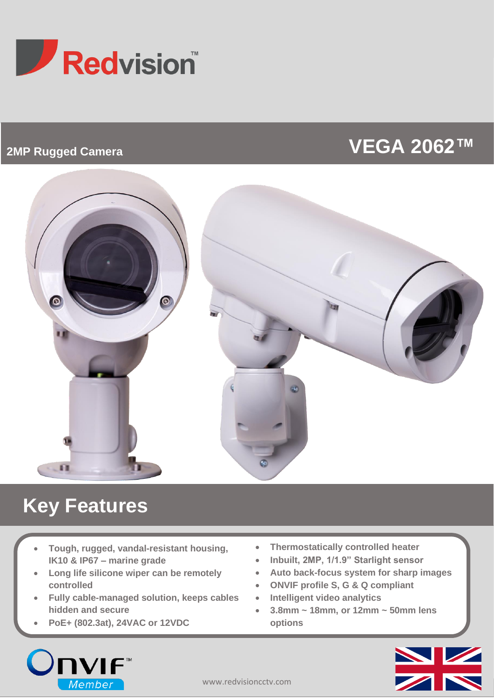

## **2MP Rugged Camera**

# **VEGA 2062™**



# **Key Features**

- **Tough, rugged, vandal-resistant housing, IK10 & IP67 – marine grade**
- **Long life silicone wiper can be remotely controlled**
- **Fully cable-managed solution, keeps cables hidden and secure**
- **PoE+ (802.3at), 24VAC or 12VDC**
- **Thermostatically controlled heater**
- **Inbuilt, 2MP, 1/1.9" Starlight sensor**
- **Auto back-focus system for sharp images**
- **ONVIF profile S, G & Q compliant**
- **Intelligent video analytics**
- **3.8mm ~ 18mm, or 12mm ~ 50mm lens options**



•

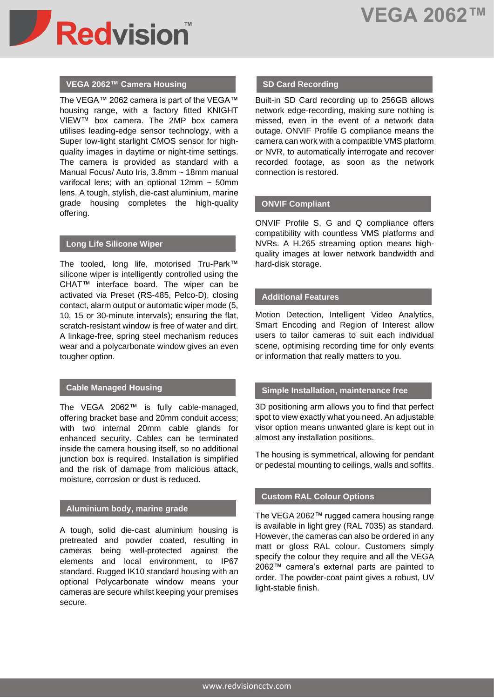

#### **VEGA 2062™ Camera Housing**

The VEGA™ 2062 camera is part of the VEGA™ housing range, with a factory fitted KNIGHT VIEW™ box camera. The 2MP box camera utilises leading-edge sensor technology, with a Super low-light starlight CMOS sensor for highquality images in daytime or night-time settings. The camera is provided as standard with a Manual Focus/ Auto Iris, 3.8mm ~ 18mm manual varifocal lens; with an optional  $12mm \sim 50mm$ lens. A tough, stylish, die-cast aluminium, marine grade housing completes the high-quality offering.

#### **Long Life Silicone Wiper**

The tooled, long life, motorised Tru-Park™ silicone wiper is intelligently controlled using the CHAT™ interface board. The wiper can be activated via Preset (RS-485, Pelco-D), closing contact, alarm output or automatic wiper mode (5, 10, 15 or 30-minute intervals); ensuring the flat, scratch-resistant window is free of water and dirt. A linkage-free, spring steel mechanism reduces wear and a polycarbonate window gives an even tougher option.

#### **Cable Managed Housing**

The VEGA 2062™ is fully cable-managed, offering bracket base and 20mm conduit access; with two internal 20mm cable glands for enhanced security. Cables can be terminated inside the camera housing itself, so no additional junction box is required. Installation is simplified and the risk of damage from malicious attack, moisture, corrosion or dust is reduced.

#### **Aluminium body, marine grade**

A tough, solid die-cast aluminium housing is pretreated and powder coated, resulting in cameras being well-protected against the elements and local environment, to IP67 standard. Rugged IK10 standard housing with an optional Polycarbonate window means your cameras are secure whilst keeping your premises secure.

#### **SD Card Recording**

Built-in SD Card recording up to 256GB allows network edge-recording, making sure nothing is missed, even in the event of a network data outage. ONVIF Profile G compliance means the camera can work with a compatible VMS platform or NVR, to automatically interrogate and recover recorded footage, as soon as the network connection is restored.

#### **ONVIF Compliant**

ONVIF Profile S, G and Q compliance offers compatibility with countless VMS platforms and NVRs. A H.265 streaming option means highquality images at lower network bandwidth and hard-disk storage.

#### **Additional Features**

Motion Detection, Intelligent Video Analytics, Smart Encoding and Region of Interest allow users to tailor cameras to suit each individual scene, optimising recording time for only events or information that really matters to you.

#### **Simple Installation, maintenance free**

3D positioning arm allows you to find that perfect spot to view exactly what you need. An adjustable visor option means unwanted glare is kept out in almost any installation positions.

The housing is symmetrical, allowing for pendant or pedestal mounting to ceilings, walls and soffits.

#### **Custom RAL Colour Options**

The VEGA 2062™ rugged camera housing range is available in light grey (RAL 7035) as standard. However, the cameras can also be ordered in any matt or gloss RAL colour. Customers simply specify the colour they require and all the VEGA 2062™ camera's external parts are painted to order. The powder-coat paint gives a robust, UV light-stable finish.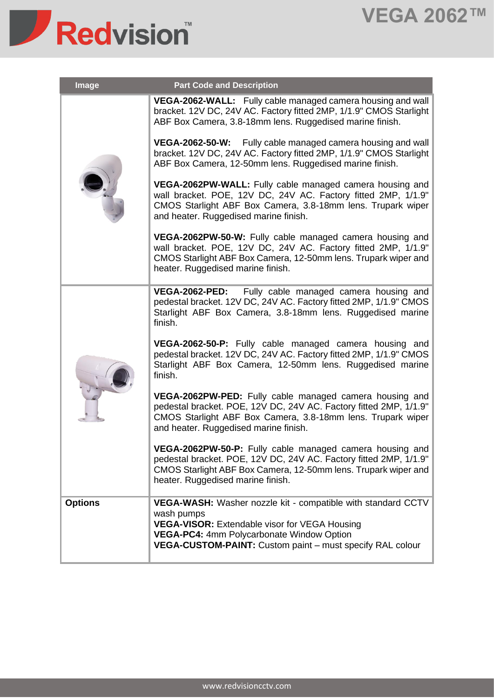## **VEGA 2062™**



| <b>Image</b>   | <b>Part Code and Description</b>                                                                                                                                                                                                     |
|----------------|--------------------------------------------------------------------------------------------------------------------------------------------------------------------------------------------------------------------------------------|
|                | <b>VEGA-2062-WALL:</b> Fully cable managed camera housing and wall<br>bracket. 12V DC, 24V AC. Factory fitted 2MP, 1/1.9" CMOS Starlight<br>ABF Box Camera, 3.8-18mm lens. Ruggedised marine finish.                                 |
|                | VEGA-2062-50-W: Fully cable managed camera housing and wall<br>bracket. 12V DC, 24V AC. Factory fitted 2MP, 1/1.9" CMOS Starlight<br>ABF Box Camera, 12-50mm lens. Ruggedised marine finish.                                         |
|                | VEGA-2062PW-WALL: Fully cable managed camera housing and<br>wall bracket. POE, 12V DC, 24V AC. Factory fitted 2MP, 1/1.9"<br>CMOS Starlight ABF Box Camera, 3.8-18mm lens. Trupark wiper<br>and heater. Ruggedised marine finish.    |
|                | VEGA-2062PW-50-W: Fully cable managed camera housing and<br>wall bracket. POE, 12V DC, 24V AC. Factory fitted 2MP, 1/1.9"<br>CMOS Starlight ABF Box Camera, 12-50mm lens. Trupark wiper and<br>heater. Ruggedised marine finish.     |
|                | <b>VEGA-2062-PED:</b><br>Fully cable managed camera housing and<br>pedestal bracket. 12V DC, 24V AC. Factory fitted 2MP, 1/1.9" CMOS<br>Starlight ABF Box Camera, 3.8-18mm lens. Ruggedised marine<br>finish.                        |
|                | VEGA-2062-50-P: Fully cable managed camera housing and<br>pedestal bracket. 12V DC, 24V AC. Factory fitted 2MP, 1/1.9" CMOS<br>Starlight ABF Box Camera, 12-50mm lens. Ruggedised marine<br>finish.                                  |
|                | VEGA-2062PW-PED: Fully cable managed camera housing and<br>pedestal bracket. POE, 12V DC, 24V AC. Factory fitted 2MP, 1/1.9"<br>CMOS Starlight ABF Box Camera, 3.8-18mm lens. Trupark wiper<br>and heater. Ruggedised marine finish. |
|                | VEGA-2062PW-50-P: Fully cable managed camera housing and<br>pedestal bracket. POE, 12V DC, 24V AC. Factory fitted 2MP, 1/1.9"<br>CMOS Starlight ABF Box Camera, 12-50mm lens. Trupark wiper and<br>heater. Ruggedised marine finish. |
| <b>Options</b> | VEGA-WASH: Washer nozzle kit - compatible with standard CCTV                                                                                                                                                                         |
|                | wash pumps<br><b>VEGA-VISOR:</b> Extendable visor for VEGA Housing                                                                                                                                                                   |
|                | VEGA-PC4: 4mm Polycarbonate Window Option<br><b>VEGA-CUSTOM-PAINT:</b> Custom paint – must specify RAL colour                                                                                                                        |